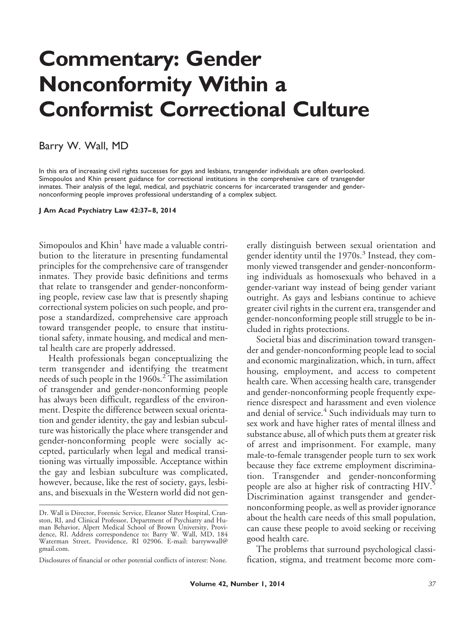## **Commentary: Gender Nonconformity Within a Conformist Correctional Culture**

## Barry W. Wall, MD

In this era of increasing civil rights successes for gays and lesbians, transgender individuals are often overlooked. Simopoulos and Khin present guidance for correctional institutions in the comprehensive care of transgender inmates. Their analysis of the legal, medical, and psychiatric concerns for incarcerated transgender and gendernonconforming people improves professional understanding of a complex subject.

**J Am Acad Psychiatry Law 42:37– 8, 2014**

Simopoulos and  $Khin<sup>1</sup>$  have made a valuable contribution to the literature in presenting fundamental principles for the comprehensive care of transgender inmates. They provide basic definitions and terms that relate to transgender and gender-nonconforming people, review case law that is presently shaping correctional system policies on such people, and propose a standardized, comprehensive care approach toward transgender people, to ensure that institutional safety, inmate housing, and medical and mental health care are properly addressed.

Health professionals began conceptualizing the term transgender and identifying the treatment needs of such people in the  $1960s<sup>2</sup>$ . The assimilation of transgender and gender-nonconforming people has always been difficult, regardless of the environment. Despite the difference between sexual orientation and gender identity, the gay and lesbian subculture was historically the place where transgender and gender-nonconforming people were socially accepted, particularly when legal and medical transitioning was virtually impossible. Acceptance within the gay and lesbian subculture was complicated, however, because, like the rest of society, gays, lesbians, and bisexuals in the Western world did not generally distinguish between sexual orientation and gender identity until the  $1970s$ .<sup>3</sup> Instead, they commonly viewed transgender and gender-nonconforming individuals as homosexuals who behaved in a gender-variant way instead of being gender variant outright. As gays and lesbians continue to achieve greater civil rights in the current era, transgender and gender-nonconforming people still struggle to be included in rights protections.

Societal bias and discrimination toward transgender and gender-nonconforming people lead to social and economic marginalization, which, in turn, affect housing, employment, and access to competent health care. When accessing health care, transgender and gender-nonconforming people frequently experience disrespect and harassment and even violence and denial of service.<sup>4</sup> Such individuals may turn to sex work and have higher rates of mental illness and substance abuse, all of which puts them at greater risk of arrest and imprisonment. For example, many male-to-female transgender people turn to sex work because they face extreme employment discrimination. Transgender and gender-nonconforming people are also at higher risk of contracting HIV.<sup>5</sup> Discrimination against transgender and gendernonconforming people, as well as provider ignorance about the health care needs of this small population, can cause these people to avoid seeking or receiving good health care.

The problems that surround psychological classification, stigma, and treatment become more com-

Dr. Wall is Director, Forensic Service, Eleanor Slater Hospital, Cranston, RI, and Clinical Professor, Department of Psychiatry and Human Behavior, Alpert Medical School of Brown University, Providence, RI. Address correspondence to: Barry W. Wall, MD, 184 Waterman Street, Providence, RI 02906. E-mail: barrywwall@ gmail.com.

Disclosures of financial or other potential conflicts of interest: None.